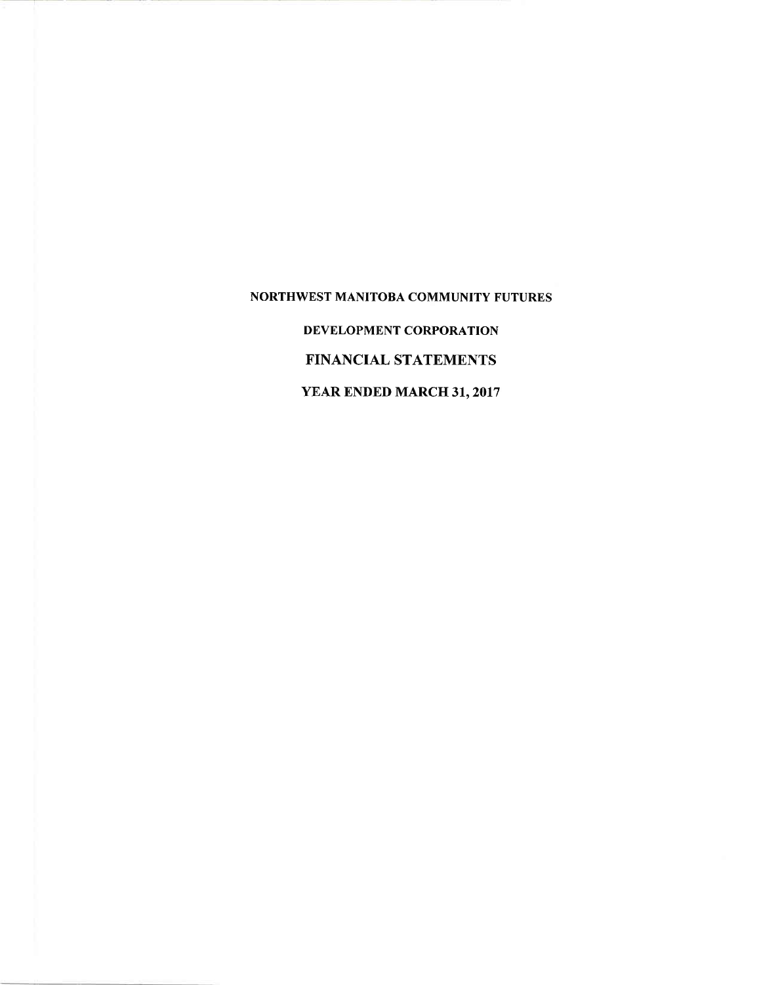NORTHWEST MANITOBA COMMUNITY FUTURES DEVELOPMENT CORPORATION FINANCIAL STATEMENTS YEAR ENDED MARCH 31, 2017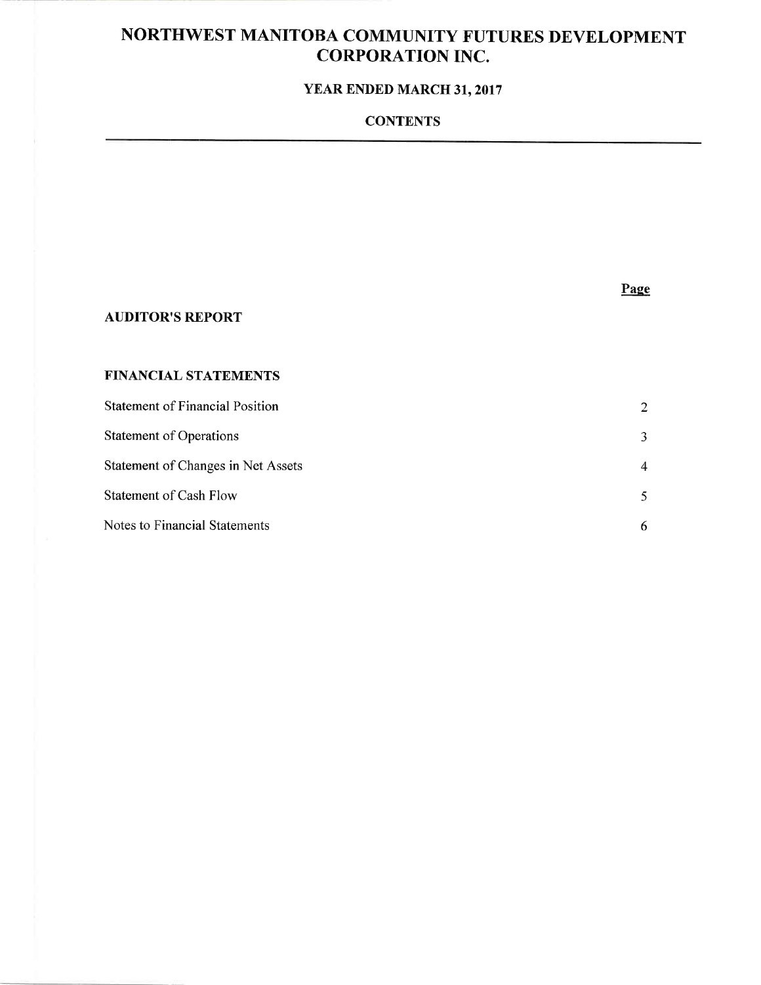### YEAR ENDED MARCH 31, 2017

### **CONTENTS**

### Page

### **AUDITOR'S REPORT**

#### FINANCIAL STATEMENTS

| <b>Statement of Financial Position</b> | 2                           |
|----------------------------------------|-----------------------------|
| <b>Statement of Operations</b>         | 3                           |
| Statement of Changes in Net Assets     | 4                           |
| <b>Statement of Cash Flow</b>          | $\mathcal{F}_{\mathcal{F}}$ |
| Notes to Financial Statements          | 6                           |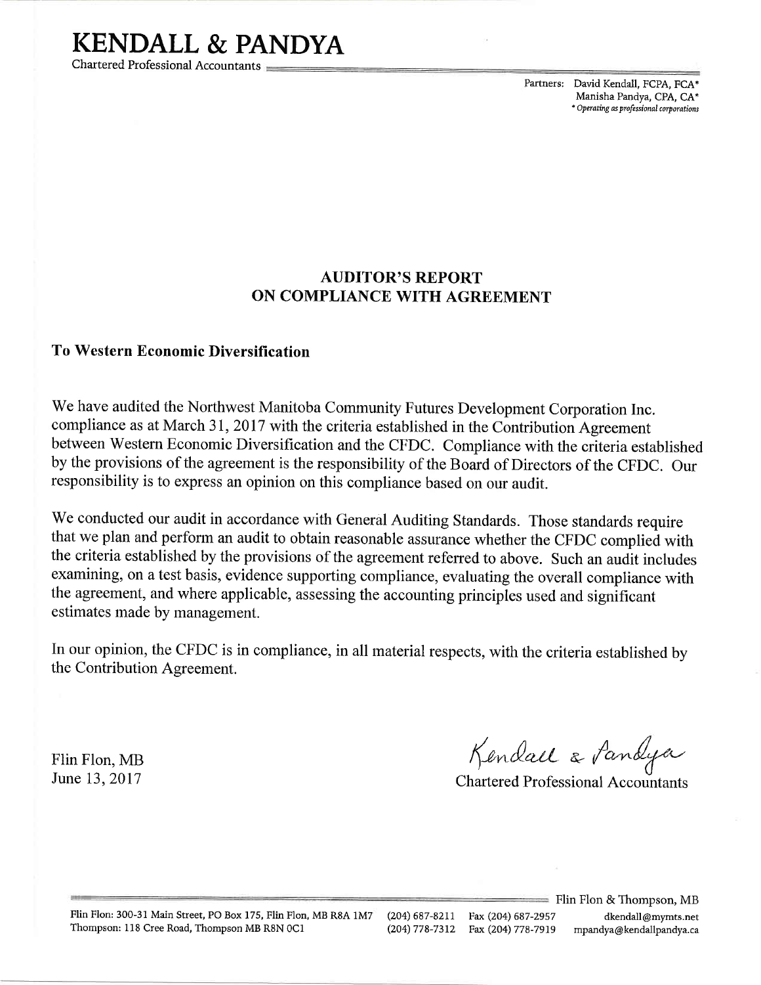# KENDALL & PANDYA

Chartered Professional Accountants

Partners: David Kendall, FCPA, FCA\* Manisha Pandya, CPA, CA\* \* Operating as professional corporations

### AUDITOR'S REPORT ON COMPLIANCE WITH AGREEMENT

### To Western Economic Diversification

We have audited the Northwest Manitoba Community Futures Development Corporation Inc. compliance as at March 31,2017 with the criteria established in the Contribution Agreement between Western Economic Diversification and the CFDC. Compliance with the criteria established by the provisions of the agreement is the responsibility of the Board of Directors of the CFDC. Our responsibility is to express an opinion on this compliance based on our audit.

We conducted our audit in accordance with General Auditing Standards. Those standards require that we plan and perfonn an audit to obtain reasonable assurance whether the CFDC complied with the criteria established by the provisions of the agreement referred to above. Such an audit includes exarnining, on a test basis, evidence supporting compliance, evaluating the overall compliance with the agreement, and where applicable, assessing the accounting principles used and significant estimates made by management.

In our opinion, the CFDC is in compliance, in all material respects, with the criteria established by the Contribution Agreement.

Flin Flon, MB June 13.2017

Kendael & Pandya

Chartered Professional Accountants

Flin Flon: 300-31 Main Street, PO Box 175, Flin Flon, MB R8A 1M7 Thompson: 118 Cree Road, Thompson MB R8N 0C1

 $\equiv$  Flin Flon & Thompson, MB (204) 687-8277 Fax (204) 687-2957 dkendall@mymts.net (204)778-7312 Fax (204) 778-7919 mpandya@kenddlpandya.ca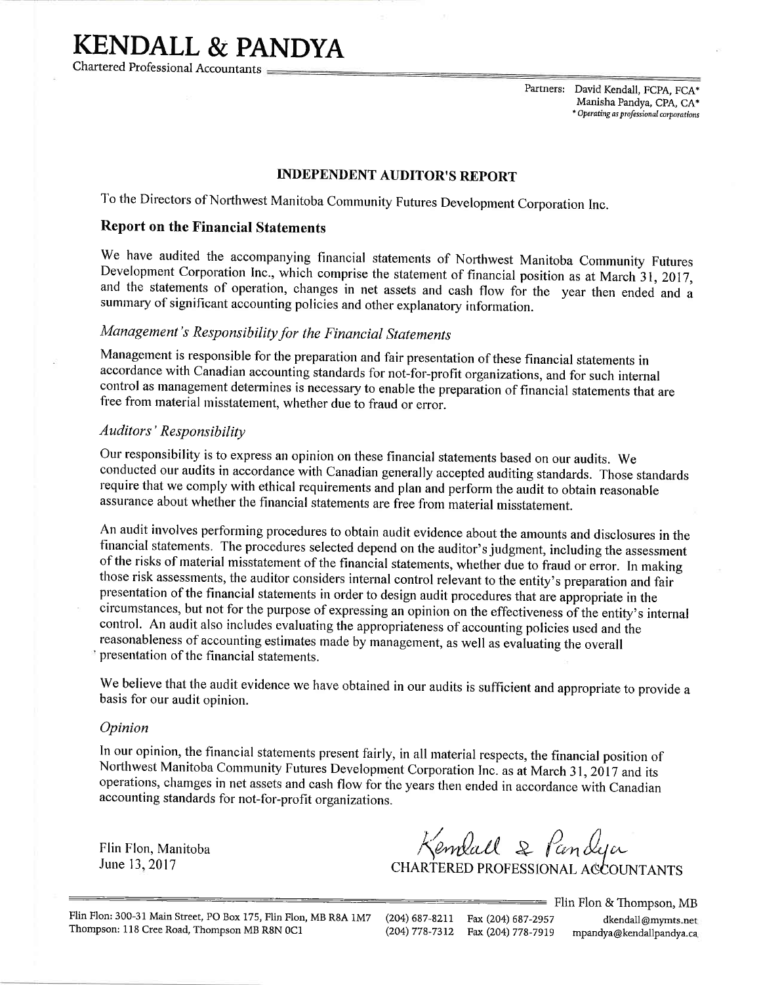# KENDALL & PANDYA

Chartered Professional Accountants

Partners: David Kendall, FCPA, FCA\* Manisha Pandya, CPA, CA\* \* Operating as professional corporations

#### INDEPENDENT AUDITOR'S REPORT

To the Directors of Northwest Manitoba Community Futures Development Corporation Inc.

#### Report on the Financial Statements

We have audited the accompanying financial staternents of Northwest Manitoba Community Futures Development Corporation Inc., which comprise the statement of financial position as at March 31, 2017, and the statements of operation, changes in net assets and cash flow for the year then ended and <sup>a</sup> summary of significant accounting policies and other explanatory information.

### Management's Responsibility for the Financial Statements

Management is responsible for the preparation and fair presentation of these financial statements in accordance with Canadian accounting standards for not-for-profit organizations, and for such internal control as management determines is necessary to enable the preparation of financial statements that are free from material misstatement, whether due to fraud or error.

#### Auditors' Responsibility

Our responsibility is to express an opinion on these financial statements based on our audits. We conducted our audits in accordance with Canadian generally accepted auditing standards. Those standards require that we comply with ethical requirements and plan and perform the audit to obtain reasonable assurance about whether the financial statements are free from material misstatement.

An audit involves performing procedures to obtain audit evidence about the amounts and disclosures in the financial statements. The procedures selected depend on the auditor's judgment, including the assessment of the risks of material misstatement of the financial statements, whether due to fraud or error. In making those risk assessments, the auditor considers internal control relevant to the entity's preparation and fair presentation of the financial statements in order to design audit procedures that are appropriate in the circumstances, but not for the purpose of expressing an opinion on the effectiveness of the entity's internal control. An audit also includes evaluating the appropriateness of accounting policies used and the reasonableness of accounting estimates made by management, as well as evaluating the overall presentation of the financial statements.

We believe that the audit evidence we have obtained in our audits is sufficient and appropriate to provide a basis for our audit opinion.

#### Opinion

In our opinion, the financial statements present fairly, in all material respects, the financial position of Northwest Manitoba Community Futures Development Corporation Inc. as at March 31, 2017 and its operations, chamges in net assets and cash flow for the years then ended in accordance with Canadian accounting standards for not-for-profit organizations.

Flin Flon, Manitoba June 13, 2017

Kemball & Pandya

CHARTERED PROFESSIONAL AGCOUNTANTS

Flin Flon: 300-31 Main Street, PO Box 175, Flin Flon, MB R8A 1M7 (204) 687-8211 Fax (204) 687-2957 dkendall@mymts.net Thompson: 118 Cree Road, Thompson MB R8N 0C1 (204) 778-7312 Fax (204) 778-7919 mpandya@kendallpandya.ca

 $\equiv$  Flin Flon & Thompson, MB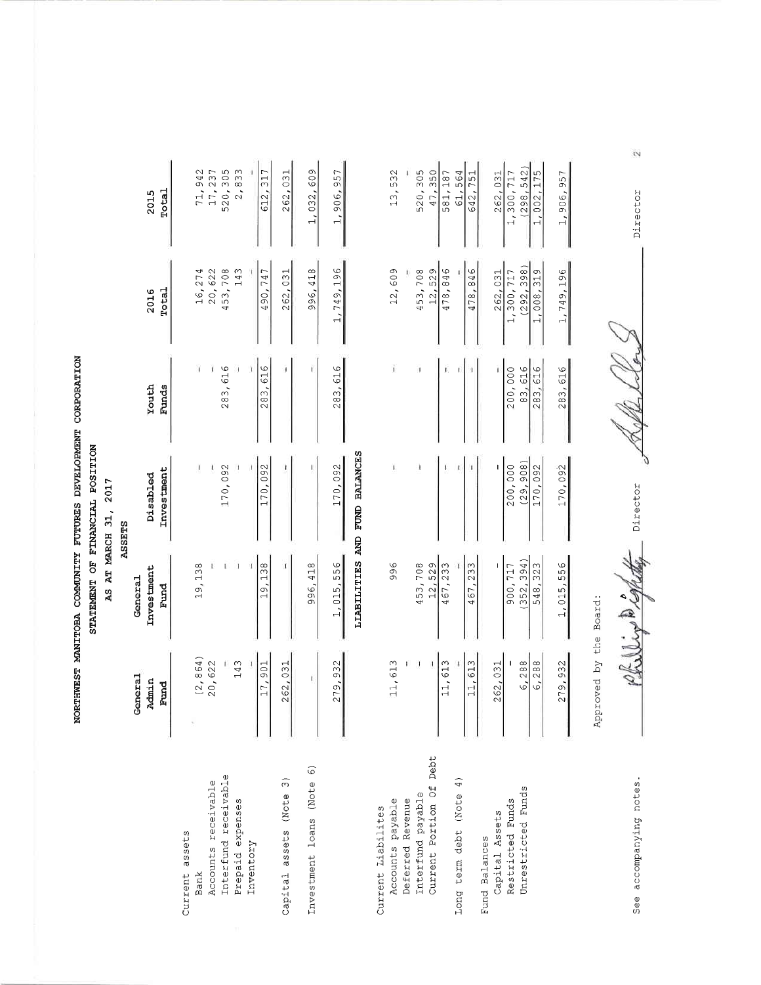'qftA ftPMENT<br>.ON ANITOBA (<br>STATE i<br>E

|                                             |               |                    | MOLIKAROGROD INERGOTEVARO SEROLI XIIMONO PEOILING ISEMELHO |                |               |               |
|---------------------------------------------|---------------|--------------------|------------------------------------------------------------|----------------|---------------|---------------|
|                                             |               |                    | STATEMENT OF FINANCIAL POSITION                            |                |               |               |
|                                             |               |                    | AS AT MARCH 31, 2017                                       |                |               |               |
|                                             |               |                    | ASSETS                                                     |                |               |               |
|                                             | General       | General            |                                                            |                |               |               |
|                                             | Admin<br>Fund | Investment<br>Fund | Investment<br>Disabled                                     | Youth<br>Funds | Total<br>2016 | Total<br>2015 |
| Current assets                              |               |                    |                                                            |                |               |               |
| Bank                                        | (2, 864)      | 19,138             |                                                            |                | 16,274        | 71,942        |
| Accounts receivable                         | 20,622        |                    |                                                            |                | 20,622        | 17,237        |
| Interfund receivable                        |               |                    | 170,092                                                    | 283,616        | 453,708       | 520,305       |
| Prepaid expenses                            | 143           |                    |                                                            |                | 143           | 2,833         |
| Inventory                                   |               |                    |                                                            |                |               |               |
|                                             | 17,901        | 138<br>19,         | 170,092                                                    | 616<br>283,    | 490,747       | 612,317       |
| $\widehat{\omega}$<br>Capital assets (Note  | 262,031       |                    |                                                            | 1              | 262,031       | 262,031       |
| $\widehat{\circ}$<br>Investment loans (Note | ī.            | 996,418            |                                                            |                | 996,418       | 1,032,609     |
|                                             | 279,932       | 1,015,556          | 170,092                                                    | 283,616        | 1,749,196     | 1,906,957     |
|                                             |               |                    |                                                            |                |               |               |
|                                             |               |                    | LIABILITIES AND FUND BALANCES                              |                |               |               |
| Current Liabilites                          |               |                    |                                                            |                |               |               |
| Accounts payable                            | 11,613        | 996                |                                                            |                | 12,609        | 13,532        |
| Deferred Revenue                            |               |                    |                                                            |                |               |               |
| Interfund payable                           |               | 453,708            |                                                            |                | 453,708       | 520,305       |
| Current Portion Of Debt                     |               | 12,529             |                                                            |                | 12,529        | 47,350        |
|                                             | 11,613        | 467,233            |                                                            |                | 478,846       | 581,187       |
| Long term debt (Note 4)                     |               |                    |                                                            |                |               | 564<br>5      |
|                                             | 11,613        | 467,233            |                                                            |                | 478,846       | 642,751       |
| Fund Balances                               |               |                    |                                                            |                |               |               |
| Capital Assets                              | 262,031       |                    |                                                            |                | 262,031       | 262,031       |
| Restricted Funds                            |               | 900,717            | 200,000                                                    | 200,000        | 1,300,717     | 1,300,717     |
| Unrestricted Funds                          | 6.288         | (352, 394)         | (29.908)                                                   | 83.616         | (292.398)     | (298.542)     |

| 11,613                 | 996        | I         | ï       | 12,609     | 3,532      |
|------------------------|------------|-----------|---------|------------|------------|
|                        |            |           |         |            |            |
|                        | 453,708    |           |         | 453,708    | 520,305    |
|                        | 12,529     |           |         | 12,529     | 47,350     |
| 11,613                 | 467,233    |           |         | 478,846    | 581,187    |
|                        |            |           |         |            | 61,564     |
| 11,613                 | 467,233    |           |         | 478,846    | 642,751    |
| 262,031                |            |           |         | 262,031    | 262,031    |
|                        | 900,717    | 200,000   | 200,000 | 1,300,717  | 1,300,717  |
| 6,288                  | (352, 394) | (29, 908) | 83,616  | (292, 398) | (298, 542) |
| 6,288                  | 548,323    | 170,092   | 283,616 | 1,008,319  | 1,002,175  |
| 279,932                | 1,015,556  | 170,092   | 283,616 | 1,749,196  | 1,906,957  |
| Approved by the Board: |            |           |         |            |            |

Boa: e<br>Lhe

> otes. t' 'i rd or o CJO 16 c.) Oa

ichette Kol

o tJO0 r.<br>Fr

Ł

Ÿ

Albert

 $\mathcal{L}$ 

!o  $\frac{1}{2}$ C) H .<br>ค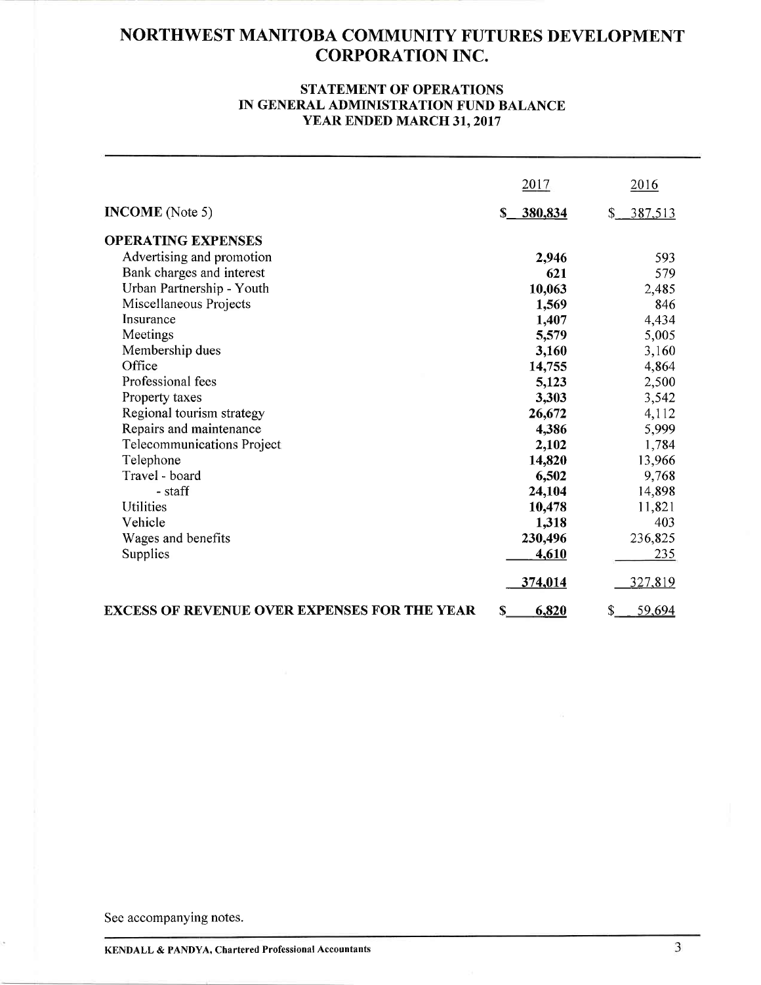#### STATEMENT OF OPERATIONS IN GENERAL ADMINISTRATION FUND BALANCE YEAR ENDED MARCH 3I,2OI7

|                                                     | 2017       | 2016          |
|-----------------------------------------------------|------------|---------------|
| <b>INCOME</b> (Note 5)                              | \$_380,834 | 387,513<br>\$ |
| <b>OPERATING EXPENSES</b>                           |            |               |
| Advertising and promotion                           | 2,946      | 593           |
| Bank charges and interest                           | 621        | 579           |
| Urban Partnership - Youth                           | 10,063     | 2,485         |
| Miscellaneous Projects                              | 1,569      | 846           |
| Insurance                                           | 1,407      | 4,434         |
| Meetings                                            | 5,579      | 5,005         |
| Membership dues                                     | 3,160      | 3,160         |
| Office                                              | 14,755     | 4,864         |
| Professional fees                                   | 5,123      | 2,500         |
| Property taxes                                      | 3,303      | 3,542         |
| Regional tourism strategy                           | 26,672     | 4,112         |
| Repairs and maintenance                             | 4,386      | 5,999         |
| Telecommunications Project                          | 2,102      | 1,784         |
| Telephone                                           | 14,820     | 13,966        |
| Travel - board                                      | 6,502      | 9,768         |
| - staff                                             | 24,104     | 14,898        |
| <b>Utilities</b>                                    | 10,478     | 11,821        |
| Vehicle                                             | 1,318      | 403           |
| Wages and benefits                                  | 230,496    | 236,825       |
| Supplies                                            | 4,610      | 235           |
|                                                     | 374,014    | 327,819       |
| <b>EXCESS OF REVENUE OVER EXPENSES FOR THE YEAR</b> | 6,820<br>S | 59,694<br>\$  |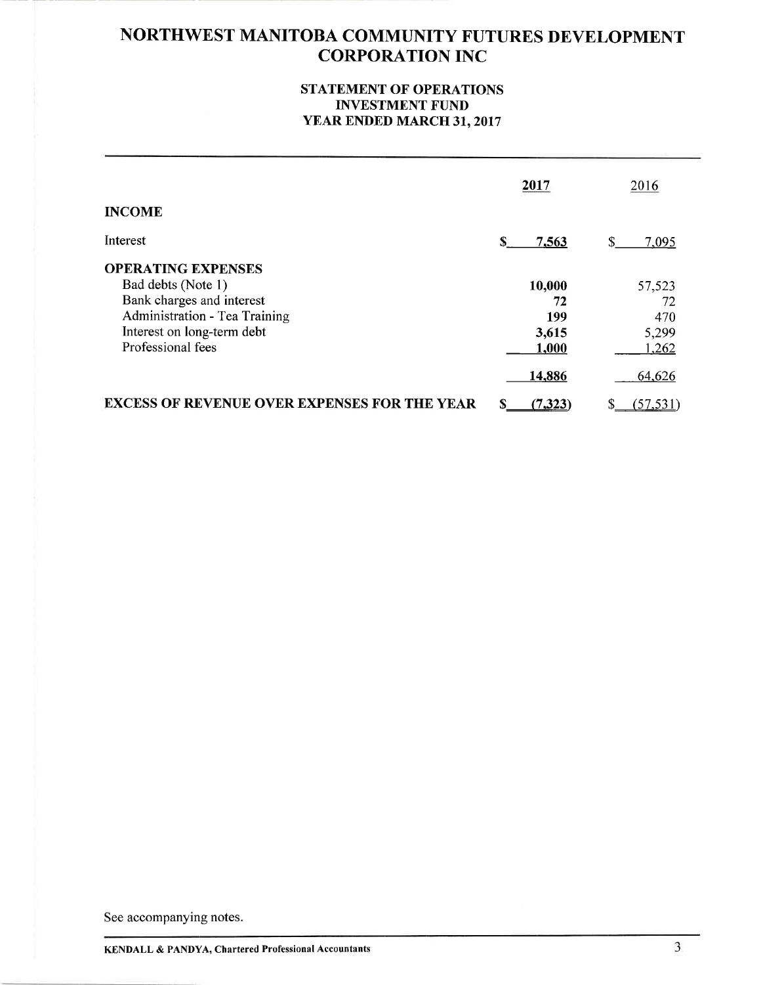#### STATEMENT OF OPERATIONS INVESTMENT FUND YEAR ENDED MARCH 31, 2017

|                                                                                                                                                                  | 2017                                  | 2016                                  |
|------------------------------------------------------------------------------------------------------------------------------------------------------------------|---------------------------------------|---------------------------------------|
| <b>INCOME</b>                                                                                                                                                    |                                       |                                       |
| Interest                                                                                                                                                         | 7,563                                 | \$<br>7,095                           |
| <b>OPERATING EXPENSES</b><br>Bad debts (Note 1)<br>Bank charges and interest<br>Administration - Tea Training<br>Interest on long-term debt<br>Professional fees | 10,000<br>72<br>199<br>3,615<br>1,000 | 57,523<br>72<br>470<br>5,299<br>1,262 |
|                                                                                                                                                                  | 14,886                                | 64,626                                |
| <b>EXCESS OF REVENUE OVER EXPENSES FOR THE YEAR</b>                                                                                                              | (7, 323)                              | (57, 531)                             |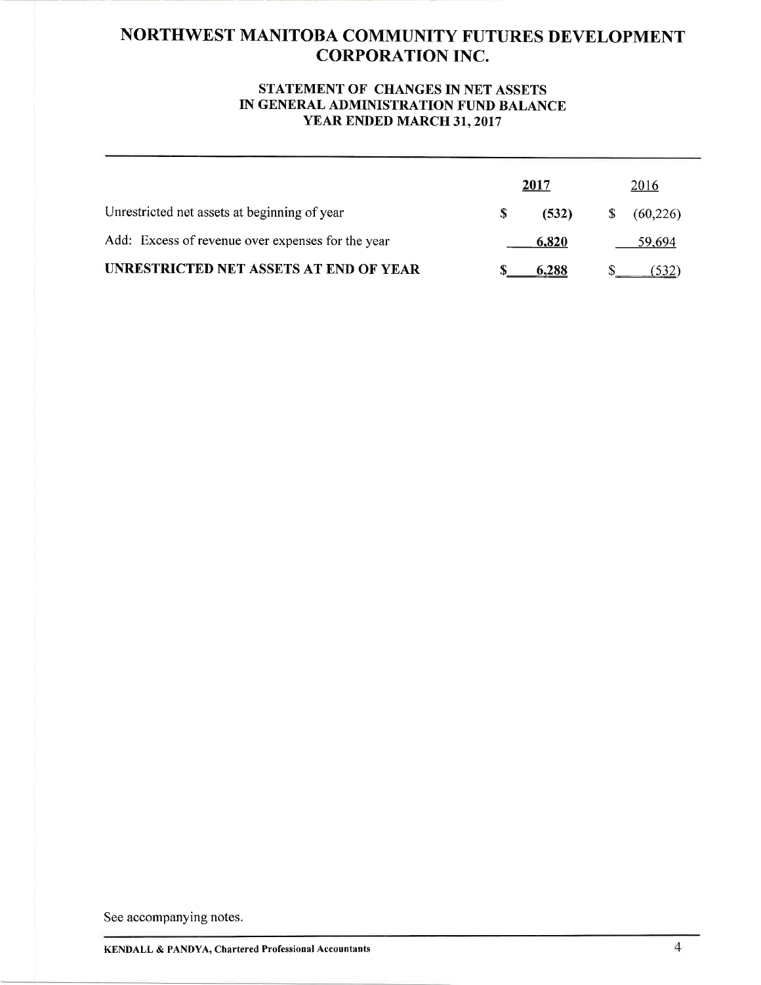#### STATEMENT OF CHANGES IN NET ASSETS IN GENERAL ADMINISTRATION FUND BALANCE YEAR ENDED MARCH 31, 2017

|                                                   | 2017  |   | 2016     |
|---------------------------------------------------|-------|---|----------|
| Unrestricted net assets at beginning of year      | (532) | S | (60,226) |
| Add: Excess of revenue over expenses for the year | 6,820 |   | 59.694   |
| UNRESTRICTED NET ASSETS AT END OF YEAR            | 6.288 |   |          |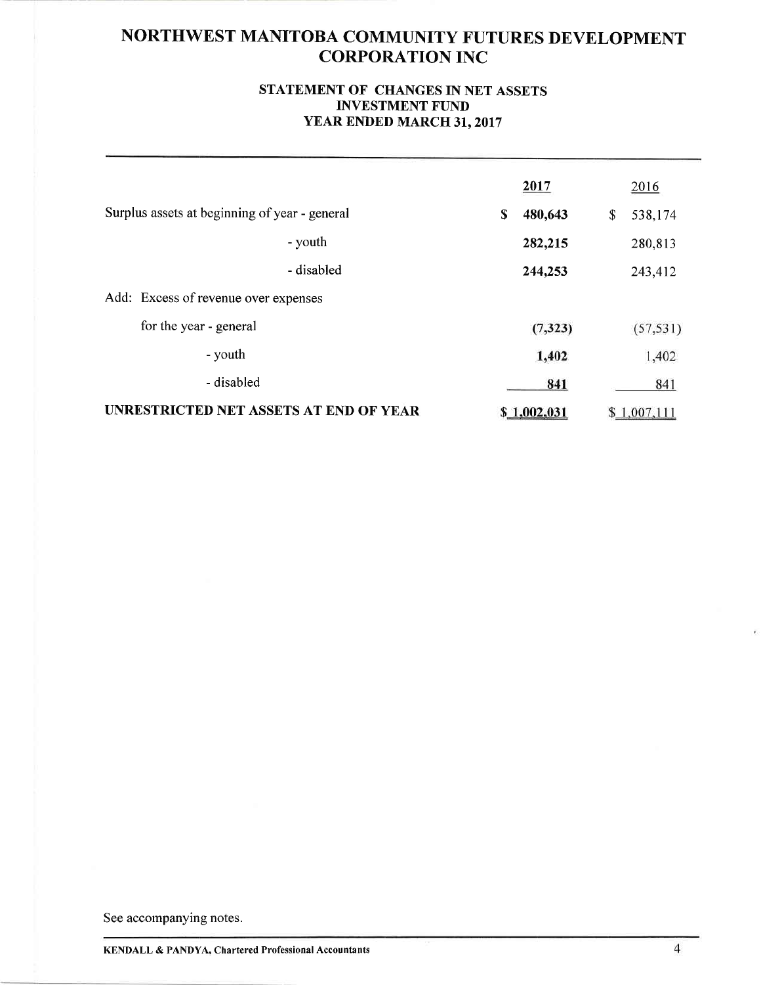#### STATEMENT OF CHANGES IN NET ASSETS INVESTMENT FUND YEAR ENDED MARCH 31, 2017

|                                               |            | 2017          | 2016          |
|-----------------------------------------------|------------|---------------|---------------|
| Surplus assets at beginning of year - general |            | \$<br>480,643 | \$<br>538,174 |
|                                               | - youth    | 282,215       | 280,813       |
|                                               | - disabled | 244,253       | 243,412       |
| Add: Excess of revenue over expenses          |            |               |               |
| for the year - general                        |            | (7, 323)      | (57, 531)     |
| - youth                                       |            | 1,402         | 1,402         |
| - disabled                                    |            | 841           | 841           |
| UNRESTRICTED NET ASSETS AT END OF YEAR        |            | \$1,002,031   | \$1,007,111   |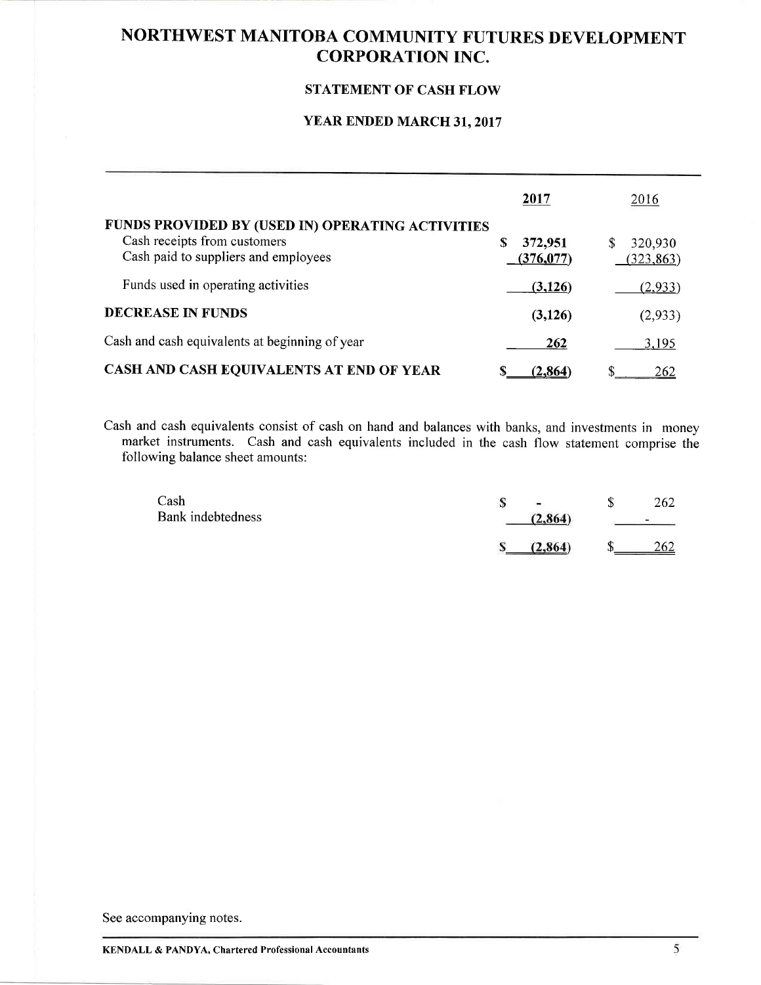#### STATEMENT OF CASH FLOW

### YEAR ENDED MARCH 31, 2017

|                                                                                                                          | 2017                       | 2016                  |
|--------------------------------------------------------------------------------------------------------------------------|----------------------------|-----------------------|
| FUNDS PROVIDED BY (USED IN) OPERATING ACTIVITIES<br>Cash receipts from customers<br>Cash paid to suppliers and employees | S<br>372,951<br>(376, 077) | 320,930<br>(323, 863) |
| Funds used in operating activities                                                                                       | (3,126)                    | (2,933)               |
| <b>DECREASE IN FUNDS</b>                                                                                                 | (3, 126)                   | (2,933)               |
| Cash and cash equivalents at beginning of year                                                                           | 262                        | 3,195                 |
| CASH AND CASH EQUIVALENTS AT END OF YEAR                                                                                 | S<br>(2, 864)              | \$<br>262             |

Cash and cash equivalents consist of cash on hand and balances with banks, and investments in money market instruments. Cash and cash equivalents included in the cash flow statement comprise the following balance sheet amounts:

| Cash              | $\blacksquare$ | 262                              |
|-------------------|----------------|----------------------------------|
| Bank indebtedness | (2.864)        | and the property of the property |
|                   | (2.864)        | 262                              |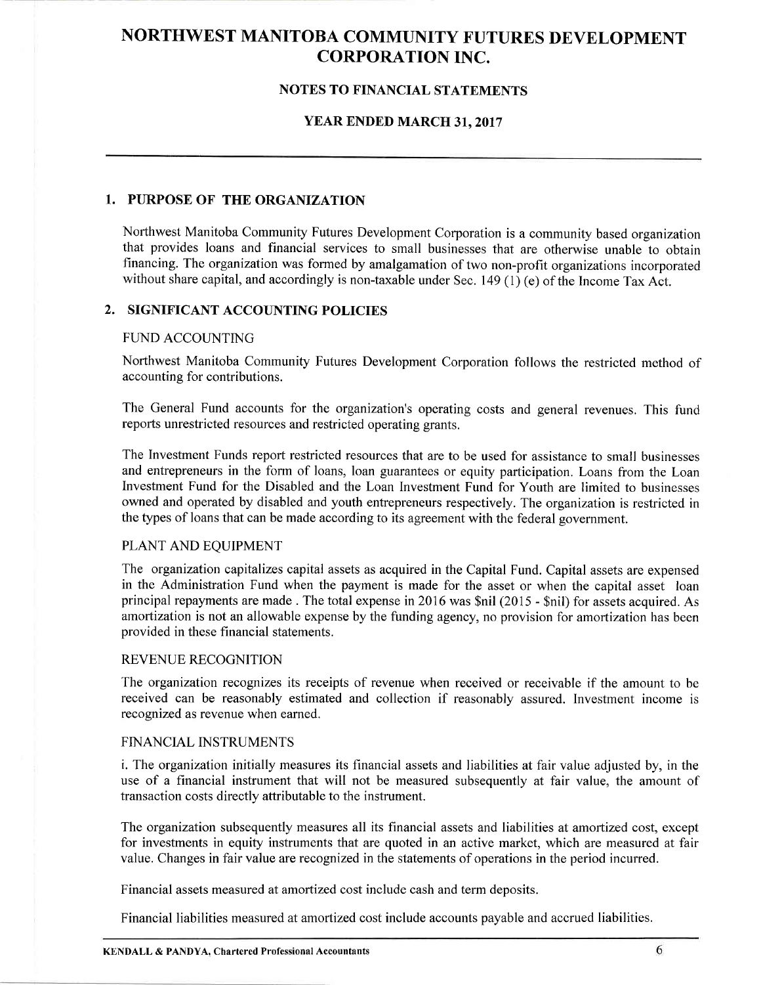#### NOTES TO FINANCIAL STATEMENTS

#### YEAR ENDED MARCH 3I.2OI7

#### 1. PURPOSE OF THE ORGANIZATION

Northwest Manitoba Community Futures Development Corporation is a community based organization that provides loans and financial services to small businesses that arc otherwise unable to obtain financing. The organization was formed by amalgamation of two non-profit organizations incorporated without share capital, and accordingly is non-taxable under Sec. 149 (1) (e) of the Income Tax Act.

#### 2. SIGNIFICANT ACCOUNTING POLICIES

#### FUND ACCOUNTING

Northwest Manitoba Community Futures Development Corporation follows the restricted method of accounting for contributions.

The General Fund accounts for the organization's operating costs and general revenues. This fund reports unrestricted resources and restricted operating grants.

The Investment Funds report restricted resources that are to be used for assistance to small businesses and entrepreneurs in the form of loans, loan guarantees or equity participation. Loans from the Loan Investment Fund for the Disabled and the Loan Investment Fund for Youth are limited to businesses owned and operated by disabled and youth entrepreneurs respectively. The organization is restricted in the types of loans that can be made according to its agreement with the federal government.

#### PLANT AND EQUIPMENT

The organization capitalizes capital assets as acquired in the Capital Fund. Capital assets are expensed in the Administration Fund when the payment is made for the asset or when the capital asset loan principal repayments are made . The total expense in2016 was \$nil (2015 - \$nil) for assets acquired. As amortization is not an allowable expense by the funding agency, no provision for amortization has been provided in these financial statements.

#### REVENUE RECOGNITION

The organization recognizes its receipts of revenue when received or receivable if the amount to be received can be reasonably estimated and collection if reasonably assured. Investment income is recognized as revenue when earned.

#### FINANCIAL INSTRUMENTS

i. The organization initially measures its financial assets and liabilities at fair value adjusted by, in the use of a financial instrument that will not be measured subsequently at fair value, the amount of transaction costs directly attributable to the instrument.

The organization subsequently measures all its financial assets and liabilities at amoftized cost, except for investments in equity instruments that are quoted in an active market, which are measured at fair value. Changes in fair value are recognized in the statements of operations in the period incurred.

Financial assets measured at amortized cost include cash and term deposits.

Financial liabilities measured at amortized cost include accounts payable and accrued liabilities.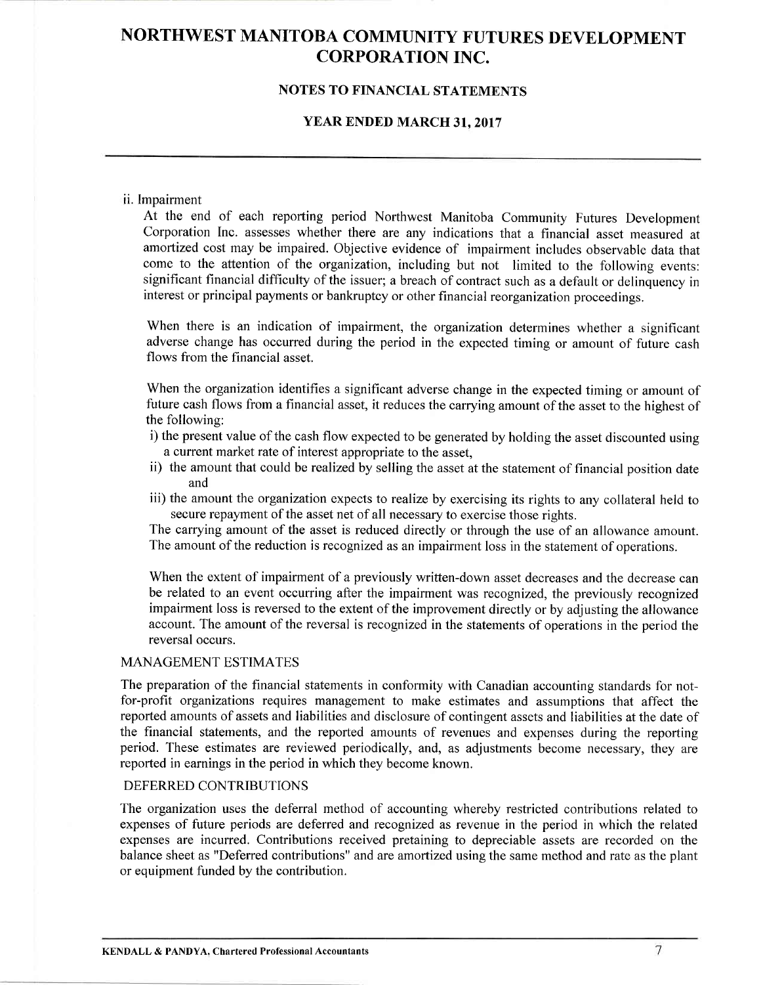#### NOTES TO FINANCIAL STATEMENTS

#### YEAR ENDED MARCH 31, 2017

#### ii. Impairment

At the end of each reporting period Northwest Manitoba Community Futures Development Corporation Inc. assesses whether there are any indications that a financial asset measured at amortized cost may be impaired. Objective evidence of impairment includes observable data that come to the attention of the organization, including but not limited to the following events: significant financial difficulty of the issuer; a breach of contract such as a default or delinquency in interest or principal payments or bankruptcy or other financial reorganization proceedings.

When there is an indication of impairment, the organization determines whether a significant adverse change has occurred during the period in the expected timing or amount of future cash flows from the financial asset.

When the organization identifies a significant adverse change in the expected timing or amount of future cash flows from a financial asset, it reduces the carrying amount of the asset to the highest of the following:

- i) the present value of the cash flow expected to be generated by holding the asset discounted using a current market rate of interest appropriate to the asset,
- ii) the amount that could be realized by selling the asset at the statement of financial position date and
- iii) the amount the organization expects to realize by exercising its rights to any collateral held to secure repayment of the asset net of all necessary to exercise those rights.

The carrying amount of the asset is reduced directly or through the use of an allowance amount. The amount of the reduction is recognized as an impairment loss in the statement of operations.

When the extent of impairment of a previously written-down asset decreases and the decrease can be related to an event occurring after the impairment was recognized, the previously recognized impairment loss is reversed to the extent of the improvement directly or by adjusting the allowance account. The amount of the reversal is recognized in the statements of operations in the period the reversal occurs.

#### MANAGEMENT ESTIMATES

The preparation of the financial statements in conformity with Canadian accounting standards for notfor-profit organizations requires management to make estimates and assumptions that affect the reported amounts of assets and liabilities and disclosure of contingent assets and liabilities at the date of the financial statements, and the reported amounts of revenues and expenses during the reporting period. These estimates are reviewed periodically, and, as adjustments become necessary, they are reported in earnings in the period in which they become known.

#### DEFERRED CONTRIBUTIONS

The organization uses the deferral method of accounting whereby restricted contributions related to expenses of future periods are deferred and recognized as revenue in the period in which the related expenses are incurred. Contributions received pretaining to depreciable assets are recorded on the balance sheet as "Deferred contributions" and are amortized using the same method and rate as the plant or equipment funded by the contribution.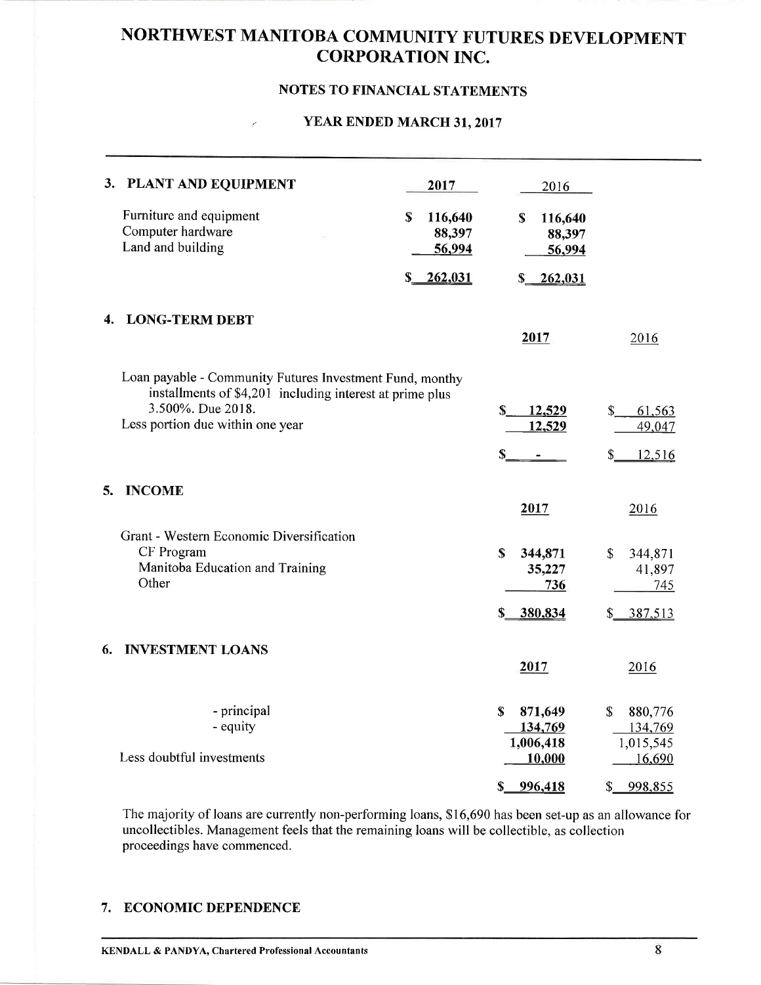#### NOTES TO FINANCIAL STATEMENTS

#### $\angle$  YEAR ENDED MARCH 31, 2017

|    | 3. PLANT AND EQUIPMENT<br>Furniture and equipment<br>Computer hardware<br>Land and building                                                                                   | 2017<br>\$<br>116,640<br>88,397<br>56,994<br>262,031<br>\$ | 2016<br>\$<br>116,640<br>88,397<br>56,994<br>262,031<br>$S_{-}$      |                                                                    |
|----|-------------------------------------------------------------------------------------------------------------------------------------------------------------------------------|------------------------------------------------------------|----------------------------------------------------------------------|--------------------------------------------------------------------|
| 4. | <b>LONG-TERM DEBT</b>                                                                                                                                                         |                                                            | 2017                                                                 | 2016                                                               |
|    | Loan payable - Community Futures Investment Fund, monthy<br>installments of \$4,201 including interest at prime plus<br>3.500%. Due 2018.<br>Less portion due within one year |                                                            | \$<br>12,529<br>12,529<br>\$                                         | \$<br>61,563<br>49,047<br>12,516<br>\$                             |
| 5. | <b>INCOME</b>                                                                                                                                                                 |                                                            |                                                                      |                                                                    |
|    | Grant - Western Economic Diversification<br>CF Program<br>Manitoba Education and Training<br>Other                                                                            |                                                            | 2017<br>$\mathbf S$<br>344,871<br>35,227<br>736<br>380,834<br>\$     | 2016<br>$\mathbb{S}$<br>344,871<br>41,897<br>745<br>387,513<br>\$_ |
| 6. | <b>INVESTMENT LOANS</b>                                                                                                                                                       |                                                            | 2017                                                                 | 2016                                                               |
|    | - principal<br>- equity<br>Less doubtful investments                                                                                                                          |                                                            | S<br>871,649<br>134,769<br>1,006,418<br>10,000<br>996,418<br>$S_{-}$ | \$<br>880,776<br>134,769<br>1,015,545<br>16,690<br>998,855<br>\$   |

The majority of loans are currently non-performing loans, \$16,690 has been set-up as an allowance for uncollectibles. Management feels that the remaining loans will be collectible, as collection proceedings have commenced.

#### 7. ECONOMIC DEPENDENCE